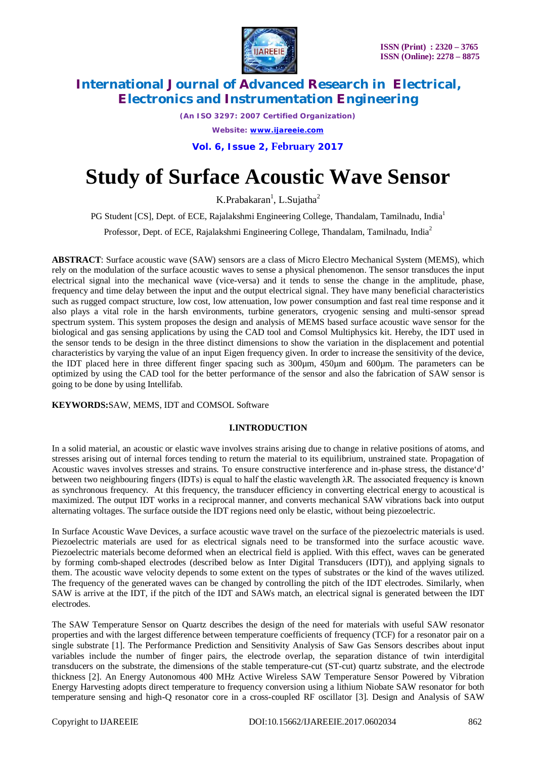

*(An ISO 3297: 2007 Certified Organization) Website: [www.ijareeie.com](http://www.ijareeie.com)*

**Vol. 6, Issue 2, February 2017**

# **Study of Surface Acoustic Wave Sensor**

 $K.Pr$ abakaran<sup>1</sup>, L.Sujatha<sup>2</sup>

PG Student [CS], Dept. of ECE, Rajalakshmi Engineering College, Thandalam, Tamilnadu, India<sup>1</sup>

Professor, Dept. of ECE, Rajalakshmi Engineering College, Thandalam, Tamilnadu, India<sup>2</sup>

**ABSTRACT**: Surface acoustic wave (SAW) sensors are a class of Micro Electro Mechanical System (MEMS), which rely on the modulation of the surface acoustic waves to sense a physical phenomenon. The sensor transduces the input electrical signal into the mechanical wave (vice-versa) and it tends to sense the change in the amplitude, phase, frequency and time delay between the input and the output electrical signal. They have many beneficial characteristics such as rugged compact structure, low cost, low attenuation, low power consumption and fast real time response and it also plays a vital role in the harsh environments, turbine generators, cryogenic sensing and multi-sensor spread spectrum system. This system proposes the design and analysis of MEMS based surface acoustic wave sensor for the biological and gas sensing applications by using the CAD tool and Comsol Multiphysics kit. Hereby, the IDT used in the sensor tends to be design in the three distinct dimensions to show the variation in the displacement and potential characteristics by varying the value of an input Eigen frequency given. In order to increase the sensitivity of the device, the IDT placed here in three different finger spacing such as 300µm, 450µm and 600µm. The parameters can be optimized by using the CAD tool for the better performance of the sensor and also the fabrication of SAW sensor is going to be done by using Intellifab.

### **KEYWORDS:**SAW, MEMS, IDT and COMSOL Software

### **I.INTRODUCTION**

In a solid material, an acoustic or elastic wave involves strains arising due to change in relative positions of atoms, and stresses arising out of internal forces tending to return the material to its equilibrium, unstrained state. Propagation of Acoustic waves involves stresses and strains. To ensure constructive interference and in-phase stress, the distance'd' between two neighbouring fingers (IDTs) is equal to half the elastic wavelength λR. The associated frequency is known as synchronous frequency. At this frequency, the transducer efficiency in converting electrical energy to acoustical is maximized. The output IDT works in a reciprocal manner, and converts mechanical SAW vibrations back into output alternating voltages. The surface outside the IDT regions need only be elastic, without being piezoelectric.

In Surface Acoustic Wave Devices, a surface acoustic wave travel on the surface of the piezoelectric materials is used. Piezoelectric materials are used for as electrical signals need to be transformed into the surface acoustic wave. Piezoelectric materials become deformed when an electrical field is applied. With this effect, waves can be generated by forming comb-shaped electrodes (described below as Inter Digital Transducers (IDT)), and applying signals to them. The acoustic wave velocity depends to some extent on the types of substrates or the kind of the waves utilized. The frequency of the generated waves can be changed by controlling the pitch of the IDT electrodes. Similarly, when SAW is arrive at the IDT, if the pitch of the IDT and SAWs match, an electrical signal is generated between the IDT electrodes.

The SAW Temperature Sensor on Quartz describes the design of the need for materials with useful SAW resonator properties and with the largest difference between temperature coefficients of frequency (TCF) for a resonator pair on a single substrate [1]. The Performance Prediction and Sensitivity Analysis of Saw Gas Sensors describes about input variables include the number of finger pairs, the electrode overlap, the separation distance of twin interdigital transducers on the substrate, the dimensions of the stable temperature-cut (ST-cut) quartz substrate, and the electrode thickness [2]. An Energy Autonomous 400 MHz Active Wireless SAW Temperature Sensor Powered by Vibration Energy Harvesting adopts direct temperature to frequency conversion using a lithium Niobate SAW resonator for both temperature sensing and high-Q resonator core in a cross-coupled RF oscillator [3]. Design and Analysis of SAW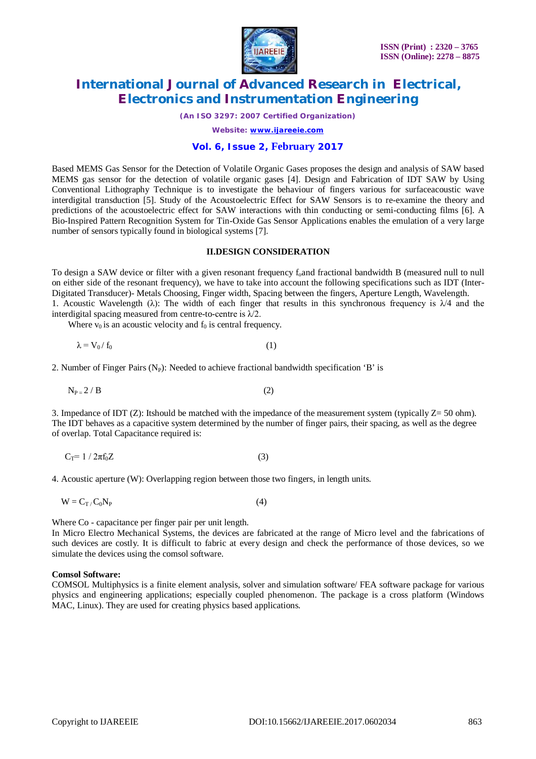

*(An ISO 3297: 2007 Certified Organization)*

*Website: [www.ijareeie.com](http://www.ijareeie.com)*

### **Vol. 6, Issue 2, February 2017**

Based MEMS Gas Sensor for the Detection of Volatile Organic Gases proposes the design and analysis of SAW based MEMS gas sensor for the detection of volatile organic gases [4]. Design and Fabrication of IDT SAW by Using Conventional Lithography Technique is to investigate the behaviour of fingers various for surfaceacoustic wave interdigital transduction [5]. Study of the Acoustoelectric Effect for SAW Sensors is to re-examine the theory and predictions of the acoustoelectric effect for SAW interactions with thin conducting or semi-conducting films [6]. A Bio-Inspired Pattern Recognition System for Tin-Oxide Gas Sensor Applications enables the emulation of a very large number of sensors typically found in biological systems [7].

#### **II.DESIGN CONSIDERATION**

To design a SAW device or filter with a given resonant frequency f<sub>o</sub>and fractional bandwidth B (measured null to null on either side of the resonant frequency), we have to take into account the following specifications such as IDT (Inter-Digitated Transducer)- Metals Choosing, Finger width, Spacing between the fingers, Aperture Length, Wavelength. 1. Acoustic Wavelength ( $\lambda$ ): The width of each finger that results in this synchronous frequency is  $\lambda/4$  and the interdigital spacing measured from centre-to-centre is  $\lambda/2$ .

Where  $v_0$  is an acoustic velocity and  $f_0$  is central frequency.

$$
\lambda = V_0 / f_0 \tag{1}
$$

2. Number of Finger Pairs  $(N_P)$ : Needed to achieve fractional bandwidth specification 'B' is

$$
N_{P=2}/B \tag{2}
$$

3. Impedance of IDT (Z): Itshould be matched with the impedance of the measurement system (typically  $Z = 50$  ohm). The IDT behaves as a capacitive system determined by the number of finger pairs, their spacing, as well as the degree of overlap. Total Capacitance required is:

$$
C_T = 1 / 2\pi f_0 Z \tag{3}
$$

4. Acoustic aperture (W): Overlapping region between those two fingers, in length units.

$$
W = C_T / C_0 N_P \tag{4}
$$

Where Co - capacitance per finger pair per unit length.

In Micro Electro Mechanical Systems, the devices are fabricated at the range of Micro level and the fabrications of such devices are costly. It is difficult to fabric at every design and check the performance of those devices, so we simulate the devices using the comsol software.

#### **Comsol Software:**

COMSOL Multiphysics is a finite element analysis, solver and simulation software/ FEA software package for various physics and engineering applications; especially coupled phenomenon. The package is a cross platform (Windows MAC, Linux). They are used for creating physics based applications.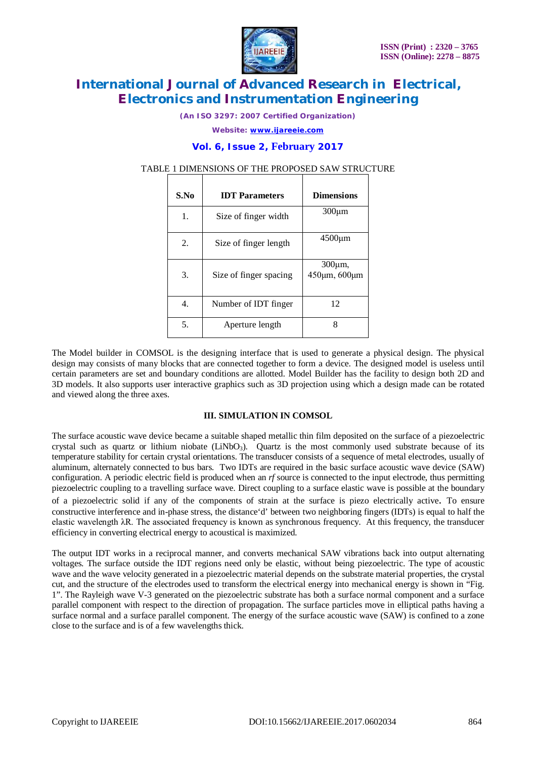

*(An ISO 3297: 2007 Certified Organization)*

*Website: [www.ijareeie.com](http://www.ijareeie.com)*

### **Vol. 6, Issue 2, February 2017**

# TABLE 1 DIMENSIONS OF THE PROPOSED SAW STRUCTURE

| S.No | <b>IDT</b> Parameters  | <b>Dimensions</b>             |
|------|------------------------|-------------------------------|
| 1.   | Size of finger width   | $300 \mu m$                   |
| 2.   | Size of finger length  | $4500 \mu m$                  |
| 3.   | Size of finger spacing | $300 \mu m$ ,<br>450μm, 600μm |
| 4.   | Number of IDT finger   | 12                            |
| 5.   | Aperture length        | 8                             |

The Model builder in COMSOL is the designing interface that is used to generate a physical design. The physical design may consists of many blocks that are connected together to form a device. The designed model is useless until certain parameters are set and boundary conditions are allotted. Model Builder has the facility to design both 2D and 3D models. It also supports user interactive graphics such as 3D projection using which a design made can be rotated and viewed along the three axes.

### **III. SIMULATION IN COMSOL**

The surface acoustic wave device became a suitable shaped metallic thin film deposited on the surface of a piezoelectric crystal such as quartz or lithium niobate (LiNbO<sub>3</sub>). Quartz is the most commonly used substrate because of its temperature stability for certain crystal orientations. The transducer consists of a sequence of metal electrodes, usually of aluminum, alternately connected to bus bars. Two IDTs are required in the basic surface acoustic wave device (SAW) configuration. A periodic electric field is produced when an *rf* source is connected to the input electrode, thus permitting piezoelectric coupling to a travelling surface wave. Direct coupling to a surface elastic wave is possible at the boundary

of a piezoelectric solid if any of the components of strain at the surface is piezo electrically active. To ensure constructive interference and in-phase stress, the distance'd' between two neighboring fingers (IDTs) is equal to half the elastic wavelength λR. The associated frequency is known as synchronous frequency. At this frequency, the transducer efficiency in converting electrical energy to acoustical is maximized.

The output IDT works in a reciprocal manner, and converts mechanical SAW vibrations back into output alternating voltages. The surface outside the IDT regions need only be elastic, without being piezoelectric. The type of acoustic wave and the wave velocity generated in a piezoelectric material depends on the substrate material properties, the crystal cut, and the structure of the electrodes used to transform the electrical energy into mechanical energy is shown in "Fig. 1". The Rayleigh wave V-3 generated on the piezoelectric substrate has both a surface normal component and a surface parallel component with respect to the direction of propagation. The surface particles move in elliptical paths having a surface normal and a surface parallel component. The energy of the surface acoustic wave (SAW) is confined to a zone close to the surface and is of a few wavelengths thick.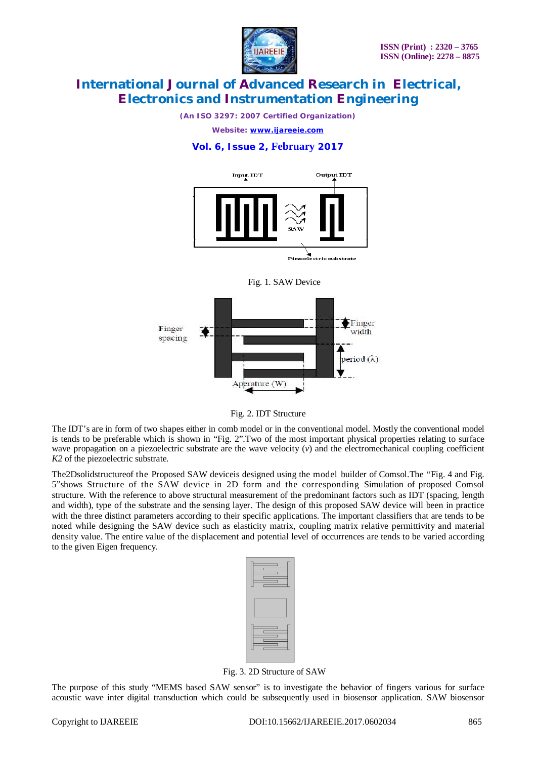

*(An ISO 3297: 2007 Certified Organization)*

*Website: [www.ijareeie.com](http://www.ijareeie.com)*

### **Vol. 6, Issue 2, February 2017**



Piezoelectric substrate





Fig. 2. IDT Structure

The IDT's are in form of two shapes either in comb model or in the conventional model. Mostly the conventional model is tends to be preferable which is shown in "Fig. 2".Two of the most important physical properties relating to surface wave propagation on a piezoelectric substrate are the wave velocity (*v*) and the electromechanical coupling coefficient *K2* of the piezoelectric substrate.

The2Dsolidstructureof the Proposed SAW deviceis designed using the model builder of Comsol.The "Fig. 4 and Fig. 5"shows Structure of the SAW device in 2D form and the corresponding Simulation of proposed Comsol structure. With the reference to above structural measurement of the predominant factors such as IDT (spacing, length and width), type of the substrate and the sensing layer. The design of this proposed SAW device will been in practice with the three distinct parameters according to their specific applications. The important classifiers that are tends to be noted while designing the SAW device such as elasticity matrix, coupling matrix relative permittivity and material density value. The entire value of the displacement and potential level of occurrences are tends to be varied according to the given Eigen frequency.

| _<br>۰ |      |  |
|--------|------|--|
| _      |      |  |
|        |      |  |
|        |      |  |
|        |      |  |
|        |      |  |
|        |      |  |
| ____   |      |  |
|        |      |  |
|        | ____ |  |

Fig. 3. 2D Structure of SAW

The purpose of this study "MEMS based SAW sensor" is to investigate the behavior of fingers various for surface acoustic wave inter digital transduction which could be subsequently used in biosensor application. SAW biosensor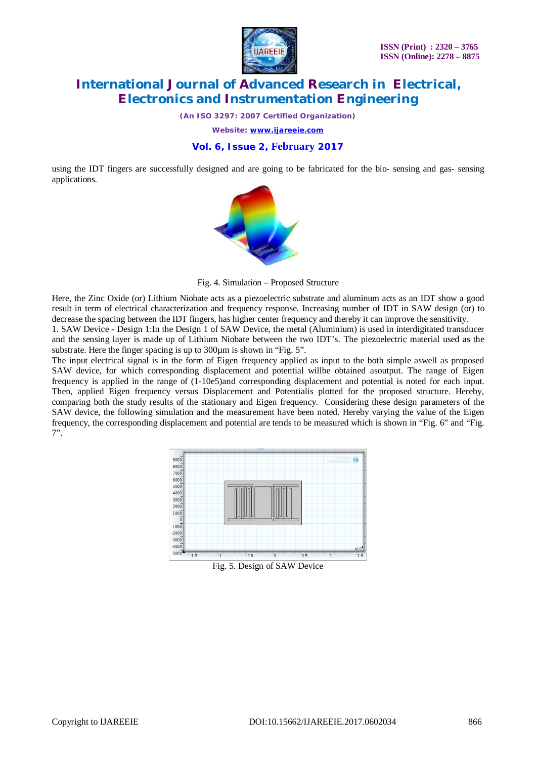

*(An ISO 3297: 2007 Certified Organization)*

*Website: [www.ijareeie.com](http://www.ijareeie.com)*

### **Vol. 6, Issue 2, February 2017**

using the IDT fingers are successfully designed and are going to be fabricated for the bio- sensing and gas- sensing applications.



Fig. 4. Simulation – Proposed Structure

Here, the Zinc Oxide (or) Lithium Niobate acts as a piezoelectric substrate and aluminum acts as an IDT show a good result in term of electrical characterization and frequency response. Increasing number of IDT in SAW design (or) to decrease the spacing between the IDT fingers, has higher center frequency and thereby it can improve the sensitivity.

1. SAW Device - Design 1:In the Design 1 of SAW Device, the metal (Aluminium) is used in interdigitated transducer and the sensing layer is made up of Lithium Niobate between the two IDT's. The piezoelectric material used as the substrate. Here the finger spacing is up to 300 $\mu$ m is shown in "Fig. 5".

The input electrical signal is in the form of Eigen frequency applied as input to the both simple aswell as proposed SAW device, for which corresponding displacement and potential willbe obtained asoutput. The range of Eigen frequency is applied in the range of (1-10e5)and corresponding displacement and potential is noted for each input. Then, applied Eigen frequency versus Displacement and Potentialis plotted for the proposed structure. Hereby, comparing both the study results of the stationary and Eigen frequency. Considering these design parameters of the SAW device, the following simulation and the measurement have been noted. Hereby varying the value of the Eigen frequency, the corresponding displacement and potential are tends to be measured which is shown in "Fig. 6" and "Fig. 7".



Fig. 5. Design of SAW Device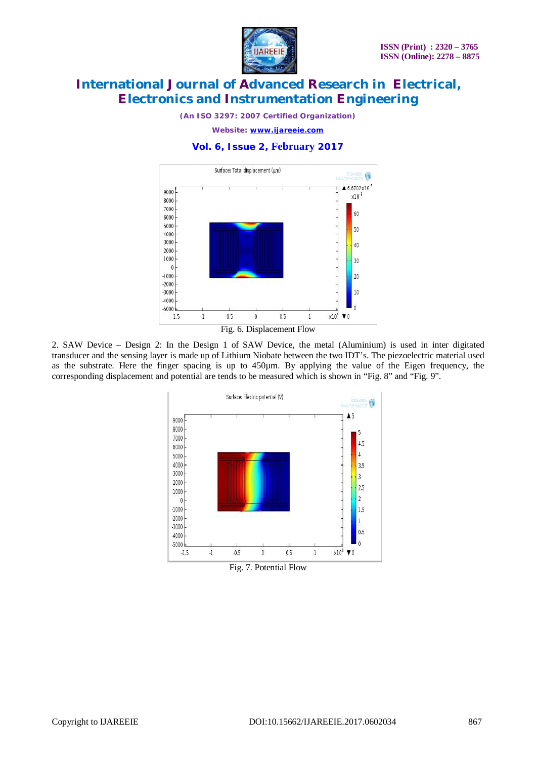

*(An ISO 3297: 2007 Certified Organization)*

*Website: [www.ijareeie.com](http://www.ijareeie.com)*

### **Vol. 6, Issue 2, February 2017**





2. SAW Device – Design 2: In the Design 1 of SAW Device, the metal (Aluminium) is used in inter digitated transducer and the sensing layer is made up of Lithium Niobate between the two IDT's. The piezoelectric material used as the substrate. Here the finger spacing is up to 450µm. By applying the value of the Eigen frequency, the corresponding displacement and potential are tends to be measured which is shown in "Fig. 8" and "Fig. 9".

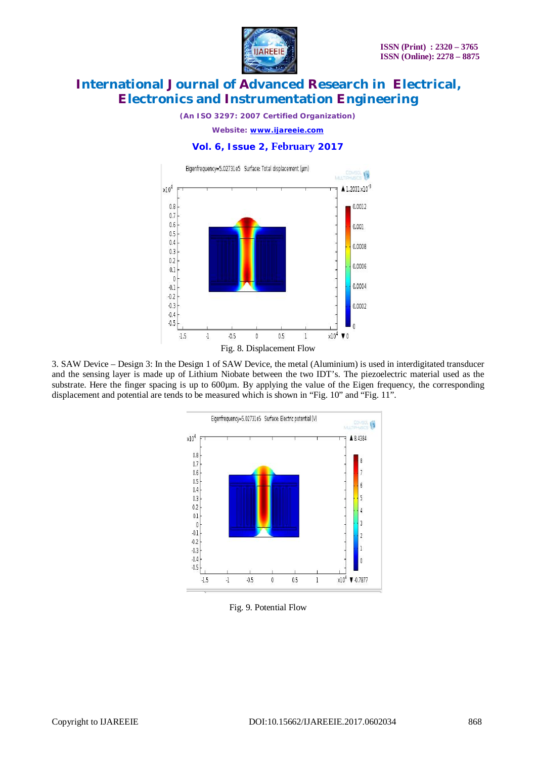

*(An ISO 3297: 2007 Certified Organization)*

*Website: [www.ijareeie.com](http://www.ijareeie.com)*

### **Vol. 6, Issue 2, February 2017**



3. SAW Device – Design 3: In the Design 1 of SAW Device, the metal (Aluminium) is used in interdigitated transducer and the sensing layer is made up of Lithium Niobate between the two IDT's. The piezoelectric material used as the substrate. Here the finger spacing is up to 600µm. By applying the value of the Eigen frequency, the corresponding displacement and potential are tends to be measured which is shown in "Fig. 10" and "Fig. 11".



Fig. 9. Potential Flow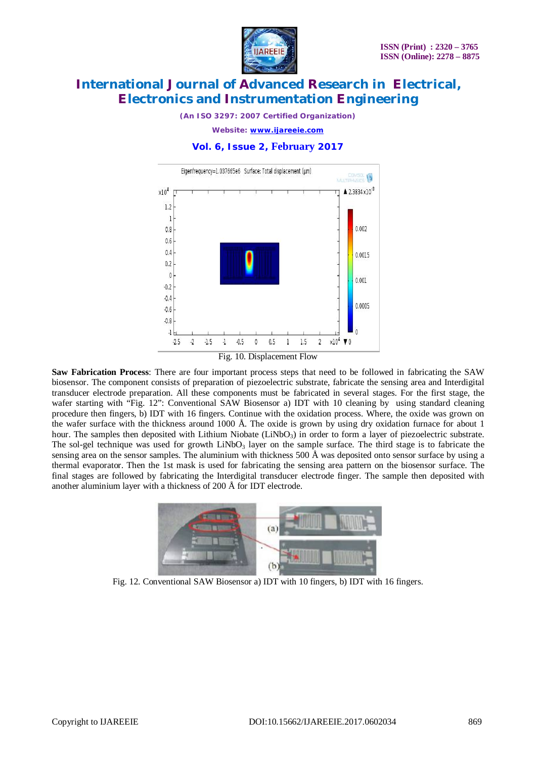

*(An ISO 3297: 2007 Certified Organization)*

*Website: [www.ijareeie.com](http://www.ijareeie.com)*

### **Vol. 6, Issue 2, February 2017**



Fig. 10. Displacement Flow

**Saw Fabrication Process**: There are four important process steps that need to be followed in fabricating the SAW biosensor. The component consists of preparation of piezoelectric substrate, fabricate the sensing area and Interdigital transducer electrode preparation. All these components must be fabricated in several stages. For the first stage, the wafer starting with "Fig. 12": Conventional SAW Biosensor a) IDT with 10 cleaning by using standard cleaning procedure then fingers, b) IDT with 16 fingers. Continue with the oxidation process. Where, the oxide was grown on the wafer surface with the thickness around 1000 Å. The oxide is grown by using dry oxidation furnace for about 1 hour. The samples then deposited with Lithium Niobate (LiNbO<sub>3</sub>) in order to form a layer of piezoelectric substrate. The sol-gel technique was used for growth  $LiNbO<sub>3</sub>$  layer on the sample surface. The third stage is to fabricate the sensing area on the sensor samples. The aluminium with thickness 500 Å was deposited onto sensor surface by using a thermal evaporator. Then the 1st mask is used for fabricating the sensing area pattern on the biosensor surface. The final stages are followed by fabricating the Interdigital transducer electrode finger. The sample then deposited with another aluminium layer with a thickness of 200 Å for IDT electrode.



Fig. 12. Conventional SAW Biosensor a) IDT with 10 fingers, b) IDT with 16 fingers.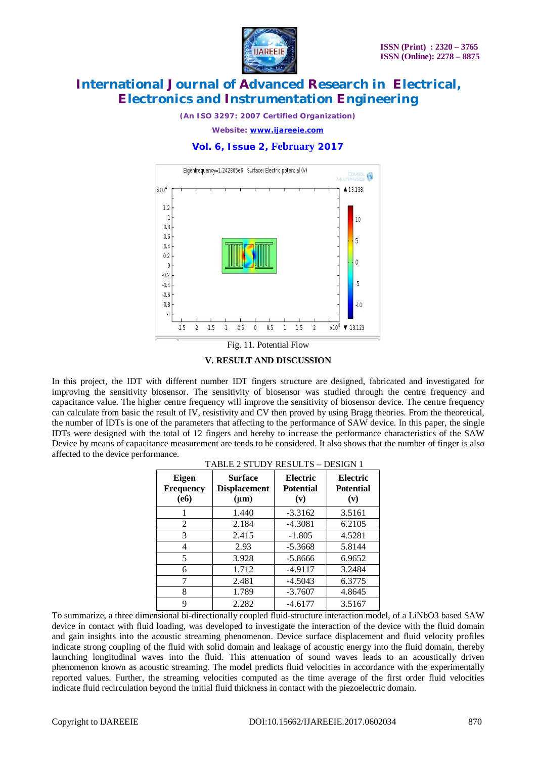

*(An ISO 3297: 2007 Certified Organization)*

*Website: [www.ijareeie.com](http://www.ijareeie.com)*

### **Vol. 6, Issue 2, February 2017**



Fig. 11. Potential Flow

#### **V. RESULT AND DISCUSSION**

In this project, the IDT with different number IDT fingers structure are designed, fabricated and investigated for improving the sensitivity biosensor. The sensitivity of biosensor was studied through the centre frequency and capacitance value. The higher centre frequency will improve the sensitivity of biosensor device. The centre frequency can calculate from basic the result of IV, resistivity and CV then proved by using Bragg theories. From the theoretical, the number of IDTs is one of the parameters that affecting to the performance of SAW device. In this paper, the single IDTs were designed with the total of 12 fingers and hereby to increase the performance characteristics of the SAW Device by means of capacitance measurement are tends to be considered. It also shows that the number of finger is also affected to the device performance. TABLE 2 STUDY RESULTS – DESIGN 1

| <b>Eigen</b><br><b>Frequency</b><br>(e6) | <b>Surface</b><br><b>Displacement</b><br>$(\mu m)$ | Electric<br>Potential<br>(v) | Electric<br>Potential<br>(v) |
|------------------------------------------|----------------------------------------------------|------------------------------|------------------------------|
|                                          | 1.440                                              | $-3.3162$                    | 3.5161                       |
| 2                                        | 2.184                                              | $-4.3081$                    | 6.2105                       |
| 3                                        | 2.415                                              | $-1.805$                     | 4.5281                       |
| 4                                        | 2.93                                               | $-5.3668$                    | 5.8144                       |
| 5                                        | 3.928                                              | $-5.8666$                    | 6.9652                       |
| 6                                        | 1.712                                              | $-4.9117$                    | 3.2484                       |
| 7                                        | 2.481                                              | $-4.5043$                    | 6.3775                       |
| 8                                        | 1.789                                              | $-3.7607$                    | 4.8645                       |
| 9                                        | 2.282                                              | $-4.6177$                    | 3.5167                       |

To summarize, a three dimensional bi-directionally coupled fluid-structure interaction model, of a LiNbO3 based SAW device in contact with fluid loading, was developed to investigate the interaction of the device with the fluid domain and gain insights into the acoustic streaming phenomenon. Device surface displacement and fluid velocity profiles indicate strong coupling of the fluid with solid domain and leakage of acoustic energy into the fluid domain, thereby launching longitudinal waves into the fluid. This attenuation of sound waves leads to an acoustically driven phenomenon known as acoustic streaming. The model predicts fluid velocities in accordance with the experimentally reported values. Further, the streaming velocities computed as the time average of the first order fluid velocities indicate fluid recirculation beyond the initial fluid thickness in contact with the piezoelectric domain.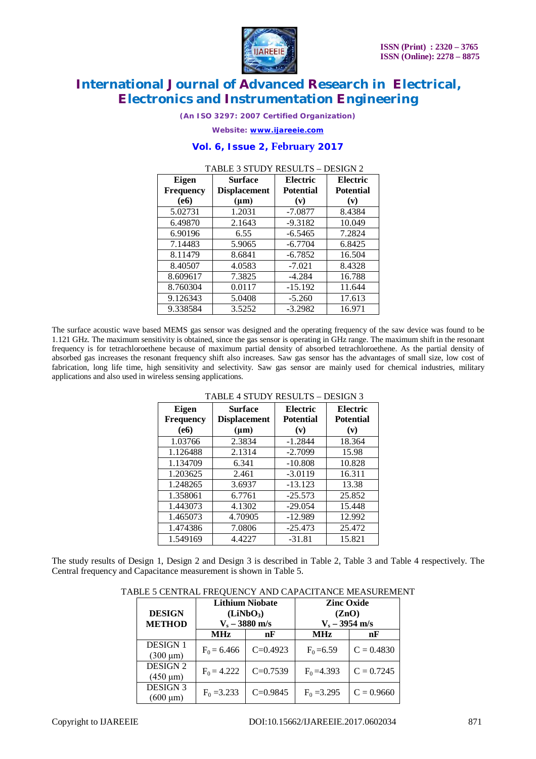

*(An ISO 3297: 2007 Certified Organization)*

*Website: [www.ijareeie.com](http://www.ijareeie.com)*

### **Vol. 6, Issue 2, February 2017**

| <b>Eigen</b><br><b>Frequency</b> | <b>Surface</b><br><b>Displacement</b> | Electric<br><b>Potential</b> | Electric<br><b>Potential</b> |
|----------------------------------|---------------------------------------|------------------------------|------------------------------|
| (e6)                             | $(\mu m)$                             | (v)                          | (v)                          |
| 5.02731                          | 1.2031                                | $-7.0877$                    | 8.4384                       |
| 6.49870                          | 2.1643                                | $-9.3182$                    | 10.049                       |
| 6.90196                          | 6.55                                  | $-6.5465$                    | 7.2824                       |
| 7.14483                          | 5.9065                                | $-6.7704$                    | 6.8425                       |
| 8.11479                          | 8.6841                                | $-6.7852$                    | 16.504                       |
| 8.40507                          | 4.0583                                | $-7.021$                     | 8.4328                       |
| 8.609617                         | 7.3825                                | $-4.284$                     | 16.788                       |
| 8.760304                         | 0.0117                                | $-15.192$                    | 11.644                       |
| 9.126343                         | 5.0408                                | $-5.260$                     | 17.613                       |
| 9.338584                         | 3.5252                                | $-3.2982$                    | 16.971                       |

### TABLE 3 STUDY RESULTS – DESIGN 2

The surface acoustic wave based MEMS gas sensor was designed and the operating frequency of the saw device was found to be 1.121 GHz. The maximum sensitivity is obtained, since the gas sensor is operating in GHz range. The maximum shift in the resonant frequency is for tetrachloroethene because of maximum partial density of absorbed tetrachloroethene. As the partial density of absorbed gas increases the resonant frequency shift also increases. Saw gas sensor has the advantages of small size, low cost of fabrication, long life time, high sensitivity and selectivity. Saw gas sensor are mainly used for chemical industries, military applications and also used in wireless sensing applications.

| Eigen<br><b>Frequency</b> | <b>Surface</b><br><b>Displacement</b> | Electric<br><b>Potential</b> | Electric<br><b>Potential</b> |
|---------------------------|---------------------------------------|------------------------------|------------------------------|
| (e6)                      | $(\mu m)$                             | (v)                          | (v)                          |
| 1.03766                   | 2.3834                                | $-1.2844$                    | 18.364                       |
| 1.126488                  | 2.1314                                | $-2.7099$                    | 15.98                        |
| 1.134709                  | 6.341                                 | $-10.808$                    | 10.828                       |
| 1.203625                  | 2.461                                 | $-3.0119$                    | 16.311                       |
| 1.248265                  | 3.6937                                | $-13.123$                    | 13.38                        |
| 1.358061                  | 6.7761                                | $-25.573$                    | 25.852                       |
| 1.443073                  | 4.1302                                | $-29.054$                    | 15.448                       |
| 1.465073                  | 4.70905                               | $-12.989$                    | 12.992                       |
| 1.474386                  | 7.0806                                | $-25.473$                    | 25.472                       |
| 1.549169                  | 4.4227                                | $-31.81$                     | 15.821                       |

### TABLE 4 STUDY RESULTS – DESIGN 3

The study results of Design 1, Design 2 and Design 3 is described in Table 2, Table 3 and Table 4 respectively. The Central frequency and Capacitance measurement is shown in Table 5.

|  | TABLE 5 CENTRAL FREQUENCY AND CAPACITANCE MEASUREMENT |  |
|--|-------------------------------------------------------|--|
|  |                                                       |  |

| <b>DESIGN</b><br><b>METHOD</b>   | <b>Lithium Niobate</b><br>(LiNbO <sub>3</sub> )<br>$V_s - 3880$ m/s |            | <b>Zinc Oxide</b><br>(ZnO)<br>$V_s - 3954$ m/s |              |
|----------------------------------|---------------------------------------------------------------------|------------|------------------------------------------------|--------------|
|                                  | <b>MHz</b>                                                          | nF         | <b>MHz</b>                                     | nF           |
| <b>DESIGN 1</b><br>$(300 \mu m)$ | $F_0 = 6.466$                                                       | $C=0.4923$ | $F_0 = 6.59$                                   | $C = 0.4830$ |
| <b>DESIGN 2</b><br>$(450 \mu m)$ | $F_0 = 4.222$                                                       | $C=0.7539$ | $F_0 = 4.393$                                  | $C = 0.7245$ |
| <b>DESIGN 3</b><br>$(600 \mu m)$ | $F_0 = 3.233$                                                       | $C=0.9845$ | $F_0 = 3.295$                                  | $C = 0.9660$ |